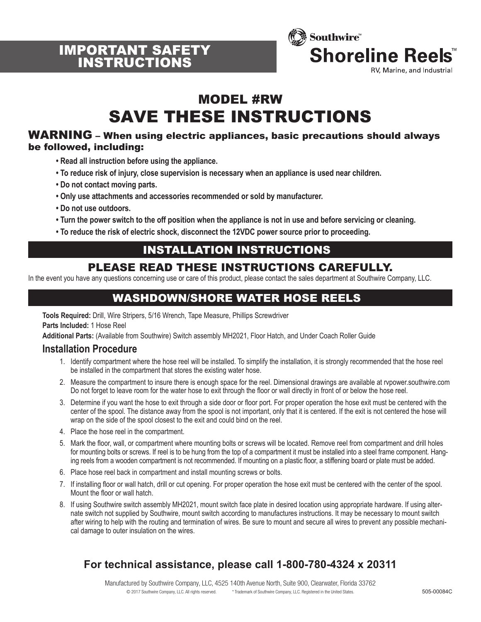



# MODEL #RW SAVE THESE INSTRUCTIONS

#### WARNING – When using electric appliances, basic precautions should always be followed, including:

- **Read all instruction before using the appliance.**
- **To reduce risk of injury, close supervision is necessary when an appliance is used near children.**
- **Do not contact moving parts.**
- **Only use attachments and accessories recommended or sold by manufacturer.**
- **Do not use outdoors.**
- **Turn the power switch to the off position when the appliance is not in use and before servicing or cleaning.**
- **To reduce the risk of electric shock, disconnect the 12VDC power source prior to proceeding.**

### INSTALLATION INSTRUCTIONS

### PLEASE READ THESE INSTRUCTIONS CAREFULLY.

In the event you have any questions concerning use or care of this product, please contact the sales department at Southwire Company, LLC.

# WASHDOWN/SHORE WATER HOSE REELS

**Tools Required:** Drill, Wire Stripers, 5/16 Wrench, Tape Measure, Phillips Screwdriver

**Parts Included:** 1 Hose Reel

**Additional Parts:** (Available from Southwire) Switch assembly MH2021, Floor Hatch, and Under Coach Roller Guide

#### **Installation Procedure**

- 1. Identify compartment where the hose reel will be installed. To simplify the installation, it is strongly recommended that the hose reel be installed in the compartment that stores the existing water hose.
- 2. Measure the compartment to insure there is enough space for the reel. Dimensional drawings are available at rvpower.southwire.com Do not forget to leave room for the water hose to exit through the floor or wall directly in front of or below the hose reel.
- 3. Determine if you want the hose to exit through a side door or floor port. For proper operation the hose exit must be centered with the center of the spool. The distance away from the spool is not important, only that it is centered. If the exit is not centered the hose will wrap on the side of the spool closest to the exit and could bind on the reel.
- 4. Place the hose reel in the compartment.
- 5. Mark the floor, wall, or compartment where mounting bolts or screws will be located. Remove reel from compartment and drill holes for mounting bolts or screws. If reel is to be hung from the top of a compartment it must be installed into a steel frame component. Hanging reels from a wooden compartment is not recommended. If mounting on a plastic floor, a stiffening board or plate must be added.
- 6. Place hose reel back in compartment and install mounting screws or bolts.
- 7. If installing floor or wall hatch, drill or cut opening. For proper operation the hose exit must be centered with the center of the spool. Mount the floor or wall hatch.
- 8. If using Southwire switch assembly MH2021, mount switch face plate in desired location using appropriate hardware. If using alternate switch not supplied by Southwire, mount switch according to manufactures instructions. It may be necessary to mount switch after wiring to help with the routing and termination of wires. Be sure to mount and secure all wires to prevent any possible mechanical damage to outer insulation on the wires.

### **For technical assistance, please call 1-800-780-4324 x 20311**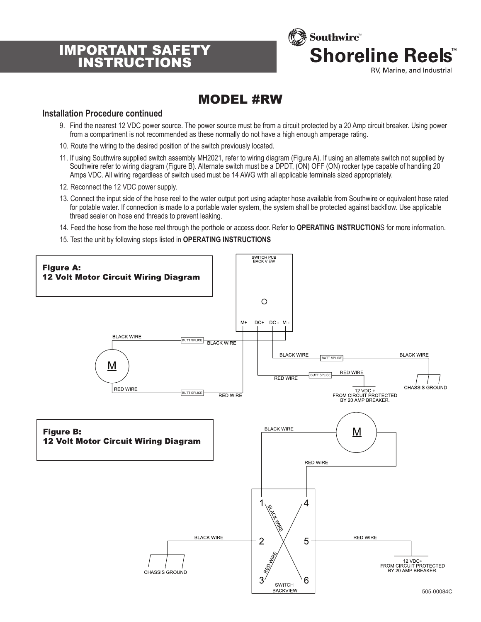# IMPORTANT SAFETY INSTRUCTIONS



# MODEL #RW

#### **Installation Procedure continued**

- 9. Find the nearest 12 VDC power source. The power source must be from a circuit protected by a 20 Amp circuit breaker. Using power from a compartment is not recommended as these normally do not have a high enough amperage rating.
- 10. Route the wiring to the desired position of the switch previously located.
- 11. If using Southwire supplied switch assembly MH2021, refer to wiring diagram (Figure A). If using an alternate switch not supplied by Southwire refer to wiring diagram (Figure B). Alternate switch must be a DPDT, (ON) OFF (ON) rocker type capable of handling 20 Amps VDC. All wiring regardless of switch used must be 14 AWG with all applicable terminals sized appropriately.
- 12. Reconnect the 12 VDC power supply.
- 13. Connect the input side of the hose reel to the water output port using adapter hose available from Southwire or equivalent hose rated for potable water. If connection is made to a portable water system, the system shall be protected against backflow. Use applicable thread sealer on hose end threads to prevent leaking.
- 14. Feed the hose from the hose reel through the porthole or access door. Refer to **OPERATING INSTRUCTION**S for more information.
- 15. Test the unit by following steps listed in **OPERATING INSTRUCTIONS**

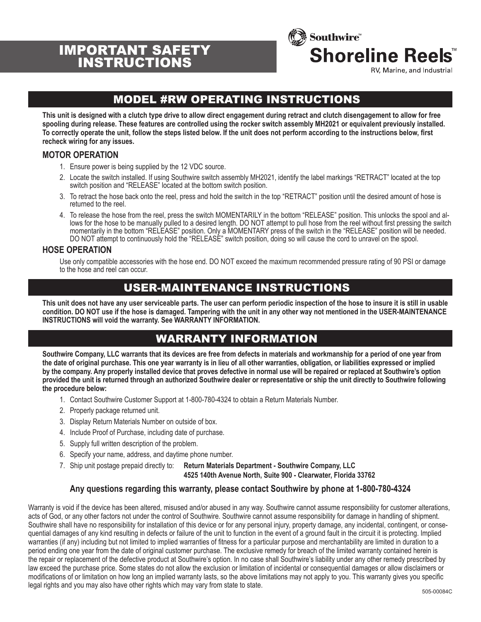# IMPORTANT SAFETY **INSTRUCTION**



RV, Marine, and Industrial

# MODEL #RW OPERATING INSTRUCTIONS

**This unit is designed with a clutch type drive to allow direct engagement during retract and clutch disengagement to allow for free spooling during release. These features are controlled using the rocker switch assembly MH2021 or equivalent previously installed. To correctly operate the unit, follow the steps listed below. If the unit does not perform according to the instructions below, first recheck wiring for any issues.**

#### **MOTOR OPERATION**

- 1. Ensure power is being supplied by the 12 VDC source.
- 2. Locate the switch installed. If using Southwire switch assembly MH2021, identify the label markings "RETRACT" located at the top switch position and "RELEASE" located at the bottom switch position.
- 3. To retract the hose back onto the reel, press and hold the switch in the top "RETRACT" position until the desired amount of hose is returned to the reel.
- 4. To release the hose from the reel, press the switch MOMENTARILY in the bottom "RELEASE" position. This unlocks the spool and allows for the hose to be manually pulled to a desired length. DO NOT attempt to pull hose from the reel without first pressing the switch momentarily in the bottom "RELEASE" position. Only a MOMENTARY press of the switch in the "RELEASE" position will be needed. DO NOT attempt to continuously hold the "RELEASE" switch position, doing so will cause the cord to unravel on the spool.

#### **HOSE OPERATION**

Use only compatible accessories with the hose end. DO NOT exceed the maximum recommended pressure rating of 90 PSI or damage to the hose and reel can occur.

### USER-MAINTENANCE INSTRUCTIONS

**This unit does not have any user serviceable parts. The user can perform periodic inspection of the hose to insure it is still in usable condition. DO NOT use if the hose is damaged. Tampering with the unit in any other way not mentioned in the USER-MAINTENANCE INSTRUCTIONS will void the warranty. See WARRANTY INFORMATION.**

### WARRANTY INFORMATION

**Southwire Company, LLC warrants that its devices are free from defects in materials and workmanship for a period of one year from the date of original purchase. This one year warranty is in lieu of all other warranties, obligation, or liabilities expressed or implied by the company. Any properly installed device that proves defective in normal use will be repaired or replaced at Southwire's option provided the unit is returned through an authorized Southwire dealer or representative or ship the unit directly to Southwire following the procedure below:**

- 1. Contact Southwire Customer Support at 1-800-780-4324 to obtain a Return Materials Number.
- 2. Properly package returned unit.
- 3. Display Return Materials Number on outside of box.
- 4. Include Proof of Purchase, including date of purchase.
- 5. Supply full written description of the problem.
- 6. Specify your name, address, and daytime phone number.
- 7. Ship unit postage prepaid directly to: **Return Materials Department Southwire Company, LLC 4525 140th Avenue North, Suite 900 - Clearwater, Florida 33762**

#### **Any questions regarding this warranty, please contact Southwire by phone at 1-800-780-4324**

Warranty is void if the device has been altered, misused and/or abused in any way. Southwire cannot assume responsibility for customer alterations, acts of God, or any other factors not under the control of Southwire. Southwire cannot assume responsibility for damage in handling of shipment. Southwire shall have no responsibility for installation of this device or for any personal injury, property damage, any incidental, contingent, or consequential damages of any kind resulting in defects or failure of the unit to function in the event of a ground fault in the circuit it is protecting. Implied warranties (if any) including but not limited to implied warranties of fitness for a particular purpose and merchantability are limited in duration to a period ending one year from the date of original customer purchase. The exclusive remedy for breach of the limited warranty contained herein is the repair or replacement of the defective product at Southwire's option. In no case shall Southwire's liability under any other remedy prescribed by law exceed the purchase price. Some states do not allow the exclusion or limitation of incidental or consequential damages or allow disclaimers or modifications of or limitation on how long an implied warranty lasts, so the above limitations may not apply to you. This warranty gives you specific legal rights and you may also have other rights which may vary from state to state.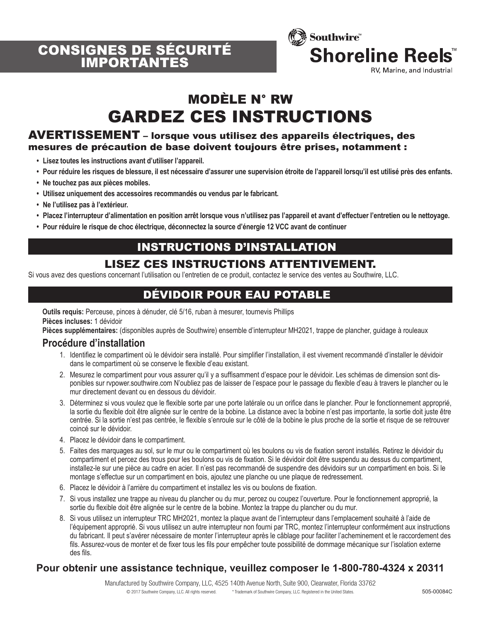



# MODÈLE N° RW GARDEZ CES INSTRUCTIONS

#### AVERTISSEMENT – lorsque vous utilisez des appareils électriques, des mesures de précaution de base doivent toujours être prises, notamment :

- **Lisez toutes les instructions avant d'utiliser l'appareil.**
- **Pour réduire les risques de blessure, il est nécessaire d'assurer une supervision étroite de l'appareil lorsqu'il est utilisé près des enfants.**
- **Ne touchez pas aux pièces mobiles.**
- **Utilisez uniquement des accessoires recommandés ou vendus par le fabricant.**
- **Ne l'utilisez pas à l'extérieur.**
- **Placez l'interrupteur d'alimentation en position arrêt lorsque vous n'utilisez pas l'appareil et avant d'effectuer l'entretien ou le nettoyage.**
- **Pour réduire le risque de choc électrique, déconnectez la source d'énergie 12 VCC avant de continuer**

### INSTRUCTIONS D'INSTALLATION

### LISEZ CES INSTRUCTIONS ATTENTIVEMENT.

Si vous avez des questions concernant l'utilisation ou l'entretien de ce produit, contactez le service des ventes au Southwire, LLC.

### DÉVIDOIR POUR EAU POTABLE

**Outils requis:** Perceuse, pinces à dénuder, clé 5/16, ruban à mesurer, tournevis Phillips **Pièces incluses:** 1 dévidoir

**Pièces supplémentaires:** (disponibles auprès de Southwire) ensemble d'interrupteur MH2021, trappe de plancher, guidage à rouleaux

#### **Procédure d'installation**

- 1. Identifiez le compartiment où le dévidoir sera installé. Pour simplifier l'installation, il est vivement recommandé d'installer le dévidoir dans le compartiment où se conserve le flexible d'eau existant.
- 2. Mesurez le compartiment pour vous assurer qu'il y a suffisamment d'espace pour le dévidoir. Les schémas de dimension sont disponibles sur rvpower.southwire.com N'oubliez pas de laisser de l'espace pour le passage du flexible d'eau à travers le plancher ou le mur directement devant ou en dessous du dévidoir.
- 3. Déterminez si vous voulez que le flexible sorte par une porte latérale ou un orifice dans le plancher. Pour le fonctionnement approprié, la sortie du flexible doit être alignée sur le centre de la bobine. La distance avec la bobine n'est pas importante, la sortie doit juste être centrée. Si la sortie n'est pas centrée, le flexible s'enroule sur le côté de la bobine le plus proche de la sortie et risque de se retrouver coincé sur le dévidoir.
- 4. Placez le dévidoir dans le compartiment.
- 5. Faites des marquages au sol, sur le mur ou le compartiment où les boulons ou vis de fixation seront installés. Retirez le dévidoir du compartiment et percez des trous pour les boulons ou vis de fixation. Si le dévidoir doit être suspendu au dessus du compartiment, installez-le sur une pièce au cadre en acier. Il n'est pas recommandé de suspendre des dévidoirs sur un compartiment en bois. Si le montage s'effectue sur un compartiment en bois, ajoutez une planche ou une plaque de redressement.
- 6. Placez le dévidoir à l'arrière du compartiment et installez les vis ou boulons de fixation.
- 7. Si vous installez une trappe au niveau du plancher ou du mur, percez ou coupez l'ouverture. Pour le fonctionnement approprié, la sortie du flexible doit être alignée sur le centre de la bobine. Montez la trappe du plancher ou du mur.
- 8. Si vous utilisez un interrupteur TRC MH2021, montez la plaque avant de l'interrupteur dans l'emplacement souhaité à l'aide de l'équipement approprié. Si vous utilisez un autre interrupteur non fourni par TRC, montez l'interrupteur conformément aux instructions du fabricant. Il peut s'avérer nécessaire de monter l'interrupteur après le câblage pour faciliter l'acheminement et le raccordement des fils. Assurez-vous de monter et de fixer tous les fils pour empêcher toute possibilité de dommage mécanique sur l'isolation externe des fils.

#### **Pour obtenir une assistance technique, veuillez composer le 1-800-780-4324 x 20311**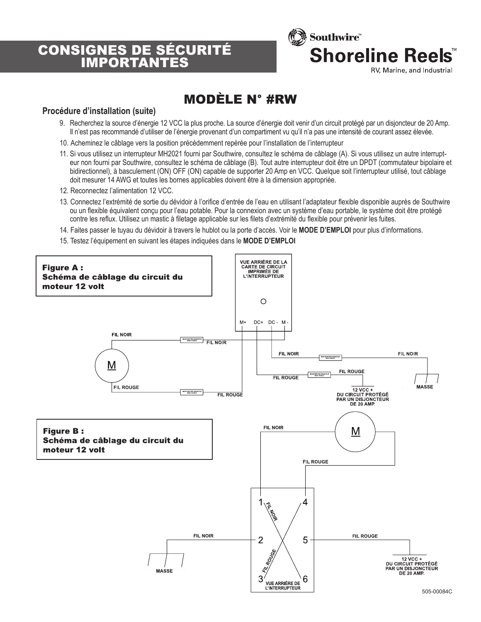# CONSIGNES DE SÉCURITÉ IMPORTANTES



# MODÈLE N° #RW

#### **Procédure d'installation (suite)**

- 9. Recherchez la source d'énergie 12 VCC la plus proche. La source d'énergie doit venir d'un circuit protégé par un disjoncteur de 20 Amp. Il n'est pas recommandé d'utiliser de l'énergie provenant d'un compartiment vu qu'il n'a pas une intensité de courant assez élevée.
- 10. Acheminez le câblage vers la position précédemment repérée pour l'installation de l'interrupteur
- 11. Si vous utilisez un interrupteur MH2021 fourni par Southwire, consultez le schéma de câblage (A). Si vous utilisez un autre interrupteur non fourni par Southwire, consultez le schéma de câblage (B). Tout autre interrupteur doit être un DPDT (commutateur bipolaire et bidirectionnel), à basculement (ON) OFF (ON) capable de supporter 20 Amp en VCC. Quelque soit l'interrupteur utilisé, tout câblage doit mesurer 14 AWG et toutes les bornes applicables doivent être à la dimension appropriée.
- 12. Reconnectez l'alimentation 12 VCC.
- 13. Connectez l'extrémité de sortie du dévidoir à l'orifice d'entrée de l'eau en utilisant l'adaptateur flexible disponible auprès de Southwire ou un flexible équivalent conçu pour l'eau potable. Pour la connexion avec un système d'eau portable, le système doit être protégé contre les reflux. Utilisez un mastic à filetage applicable sur les filets d'extrémité du flexible pour prévenir les fuites.
- 14. Faites passer le tuyau du dévidoir à travers le hublot ou la porte d'accès. Voir le **MODE D'EMPLOI** pour plus d'informations.
- 15. Testez l'équipement en suivant les étapes indiquées dans le **MODE D'EMPLOI**